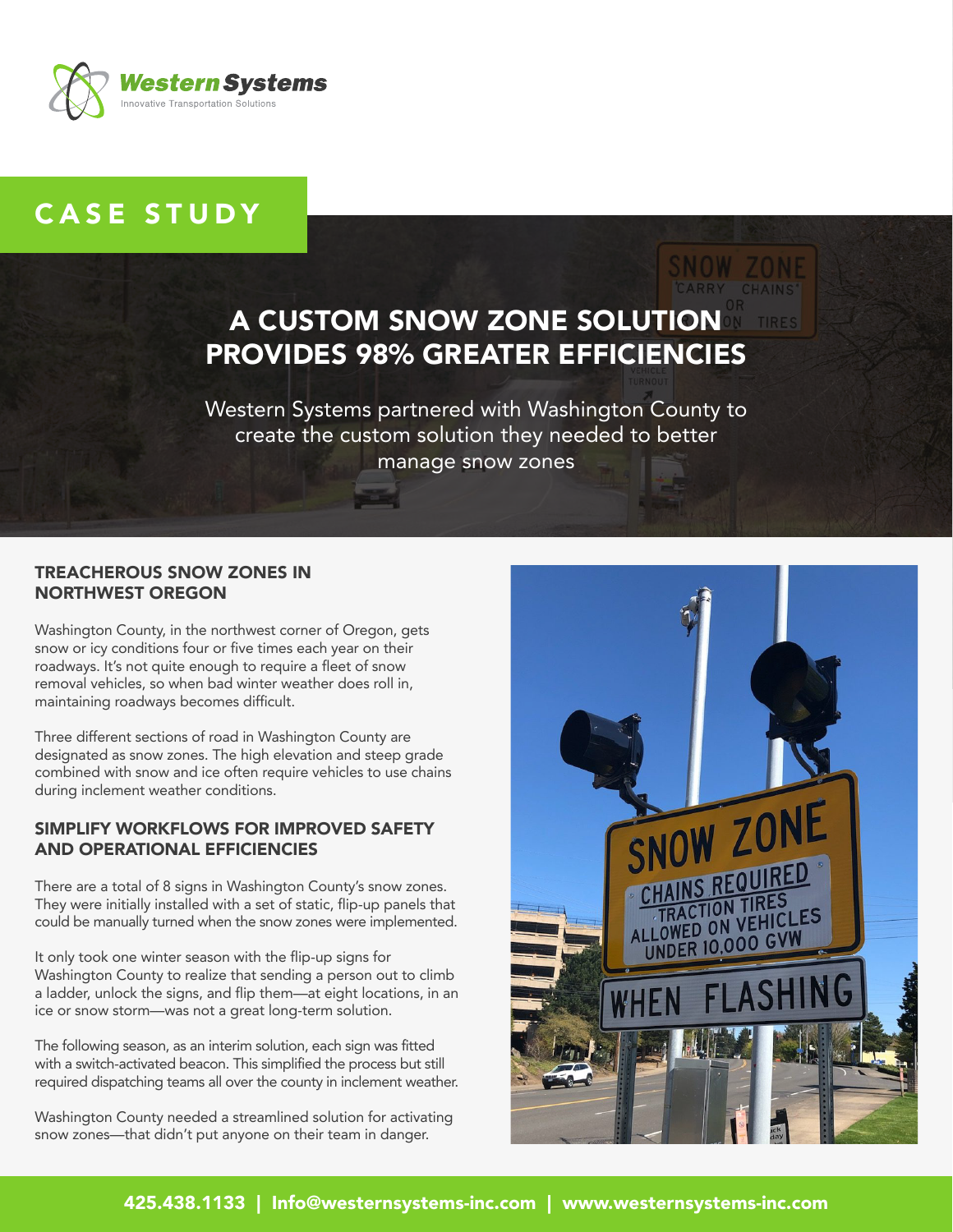

# CASE STUDY

# A CUSTOM SNOW ZONE SOLUTION PROVIDES 98% GREATER EFFICIENCIES

Western Systems partnered with Washington County to create the custom solution they needed to better manage snow zones

### TREACHEROUS SNOW ZONES IN NORTHWEST OREGON Ï

Washington County, in the northwest corner of Oregon, gets snow or icy conditions four or five times each year on their roadways. It's not quite enough to require a fleet of snow removal vehicles, so when bad winter weather does roll in, maintaining roadways becomes difficult.

Three different sections of road in Washington County are designated as snow zones. The high elevation and steep grade combined with snow and ice often require vehicles to use chains during inclement weather conditions.

#### SIMPLIFY WORKFLOWS FOR IMPROVED SAFETY AND OPERATIONAL EFFICIENCIES

There are a total of 8 signs in Washington County's snow zones. They were initially installed with a set of static, flip-up panels that could be manually turned when the snow zones were implemented.

It only took one winter season with the flip-up signs for Washington County to realize that sending a person out to climb a ladder, unlock the signs, and flip them—at eight locations, in an ice or snow storm—was not a great long-term solution.

The following season, as an interim solution, each sign was fitted with a switch-activated beacon. This simplified the process but still required dispatching teams all over the county in inclement weather.

Washington County needed a streamlined solution for activating snow zones—that didn't put anyone on their team in danger.